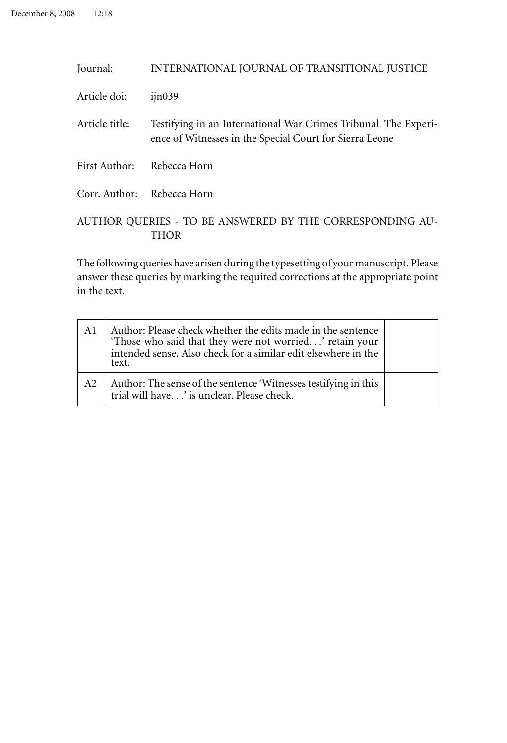| Journal:                                                         | INTERNATIONAL JOURNAL OF TRANSITIONAL JUSTICE                                                                              |  |  |  |
|------------------------------------------------------------------|----------------------------------------------------------------------------------------------------------------------------|--|--|--|
| Article doi:                                                     | $i$ in039                                                                                                                  |  |  |  |
| Article title:                                                   | Testifying in an International War Crimes Tribunal: The Experi-<br>ence of Witnesses in the Special Court for Sierra Leone |  |  |  |
| First Author:                                                    | Rebecca Horn                                                                                                               |  |  |  |
| Corr. Author: Rebecca Horn                                       |                                                                                                                            |  |  |  |
| AUTHOR QUERIES - TO BE ANSWERED BY THE CORRESPONDING AU-<br>THOR |                                                                                                                            |  |  |  |

The following queries have arisen during the typesetting of your manuscript. Please answer these queries by marking the required corrections at the appropriate point in the text.

| A1 | Author: Please check whether the edits made in the sentence<br>'Those who said that they were not worried' retain your<br>intended sense. Also check for a similar edit elsewhere in the<br>text. |  |
|----|---------------------------------------------------------------------------------------------------------------------------------------------------------------------------------------------------|--|
| A2 | Author: The sense of the sentence 'Witnesses testifying in this<br>trial will have' is unclear. Please check.                                                                                     |  |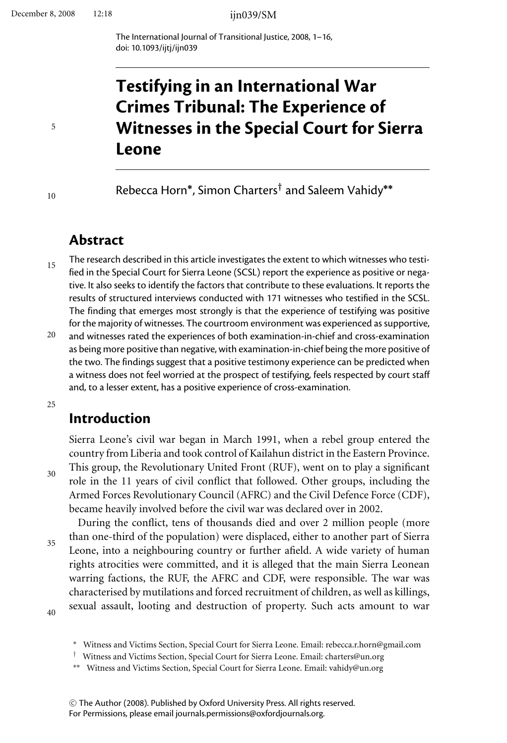The International Journal of Transitional Justice, 2008, 1–16, doi: 10.1093/ijtj/ijn039

# **Testifying in an International War Crimes Tribunal: The Experience of Witnesses in the Special Court for Sierra Leone**

Rebecca Horn**∗**, Simon Charters*†* and Saleem Vahidy**∗∗**

## **Abstract**

15 The research described in this article investigates the extent to which witnesses who testified in the Special Court for Sierra Leone (SCSL) report the experience as positive or negative. It also seeks to identify the factors that contribute to these evaluations. It reports the results of structured interviews conducted with 171 witnesses who testified in the SCSL. The finding that emerges most strongly is that the experience of testifying was positive for the majority of witnesses. The courtroom environment was experienced as supportive,

20 and witnesses rated the experiences of both examination-in-chief and cross-examination as being more positive than negative, with examination-in-chief being the more positive of the two. The findings suggest that a positive testimony experience can be predicted when a witness does not feel worried at the prospect of testifying, feels respected by court staff and, to a lesser extent, has a positive experience of cross-examination.

25

30

## **Introduction**

Sierra Leone's civil war began in March 1991, when a rebel group entered the country from Liberia and took control of Kailahun district in the Eastern Province. This group, the Revolutionary United Front (RUF), went on to play a significant role in the 11 years of civil conflict that followed. Other groups, including the Armed Forces Revolutionary Council (AFRC) and the Civil Defence Force (CDF), became heavily involved before the civil war was declared over in 2002.

35 During the conflict, tens of thousands died and over 2 million people (more than one-third of the population) were displaced, either to another part of Sierra Leone, into a neighbouring country or further afield. A wide variety of human rights atrocities were committed, and it is alleged that the main Sierra Leonean warring factions, the RUF, the AFRC and CDF, were responsible. The war was characterised by mutilations and forced recruitment of children, as well as killings, sexual assault, looting and destruction of property. Such acts amount to war

40

10

<sup>∗</sup> Witness and Victims Section, Special Court for Sierra Leone. Email: rebecca.r.horn@gmail.com

<sup>†</sup> Witness and Victims Section, Special Court for Sierra Leone. Email: charters@un.org

<sup>∗∗</sup> Witness and Victims Section, Special Court for Sierra Leone. Email: vahidy@un.org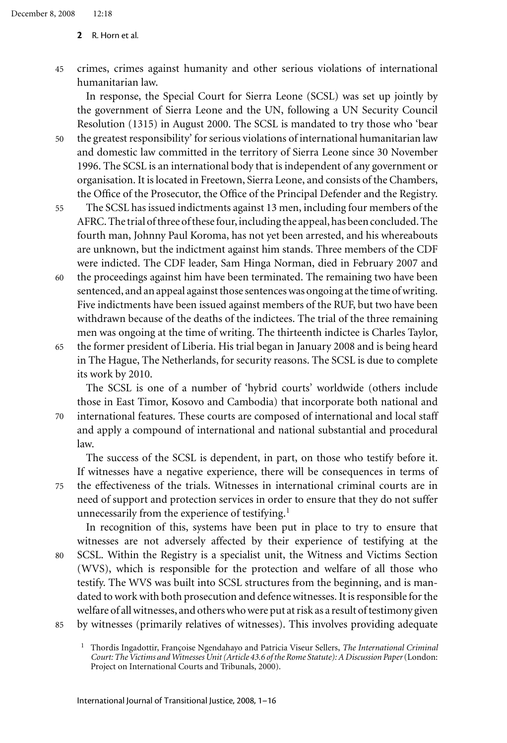45 crimes, crimes against humanity and other serious violations of international humanitarian law.

In response, the Special Court for Sierra Leone (SCSL) was set up jointly by the government of Sierra Leone and the UN, following a UN Security Council Resolution (1315) in August 2000. The SCSL is mandated to try those who 'bear

- 50 the greatest responsibility' for serious violations of international humanitarian law and domestic law committed in the territory of Sierra Leone since 30 November 1996. The SCSL is an international body that is independent of any government or organisation. It is located in Freetown, Sierra Leone, and consists of the Chambers, the Office of the Prosecutor, the Office of the Principal Defender and the Registry.
- 55 The SCSL has issued indictments against 13 men, including four members of the AFRC. The trial of three of these four, including the appeal, has been concluded. The fourth man, Johnny Paul Koroma, has not yet been arrested, and his whereabouts are unknown, but the indictment against him stands. Three members of the CDF were indicted. The CDF leader, Sam Hinga Norman, died in February 2007 and
- 60 the proceedings against him have been terminated. The remaining two have been sentenced, and an appeal against those sentences was ongoing at the time of writing. Five indictments have been issued against members of the RUF, but two have been withdrawn because of the deaths of the indictees. The trial of the three remaining men was ongoing at the time of writing. The thirteenth indictee is Charles Taylor,
- 65 the former president of Liberia. His trial began in January 2008 and is being heard in The Hague, The Netherlands, for security reasons. The SCSL is due to complete its work by 2010.

The SCSL is one of a number of 'hybrid courts' worldwide (others include those in East Timor, Kosovo and Cambodia) that incorporate both national and

70 international features. These courts are composed of international and local staff and apply a compound of international and national substantial and procedural law.

The success of the SCSL is dependent, in part, on those who testify before it. If witnesses have a negative experience, there will be consequences in terms of

75 the effectiveness of the trials. Witnesses in international criminal courts are in need of support and protection services in order to ensure that they do not suffer unnecessarily from the experience of testifying. $<sup>1</sup>$ </sup>

85 In recognition of this, systems have been put in place to try to ensure that witnesses are not adversely affected by their experience of testifying at the SCSL. Within the Registry is a specialist unit, the Witness and Victims Section (WVS), which is responsible for the protection and welfare of all those who testify. The WVS was built into SCSL structures from the beginning, and is mandated to work with both prosecution and defence witnesses. It is responsible for the welfare of all witnesses, and others who were put at risk as a result of testimony given by witnesses (primarily relatives of witnesses). This involves providing adequate

Thordis Ingadottir, Françoise Ngendahayo and Patricia Viseur Sellers, *The International Criminal Court: The Victims and Witnesses Unit (Article 43.6 of the Rome Statute): A Discussion Paper*(London: Project on International Courts and Tribunals, 2000).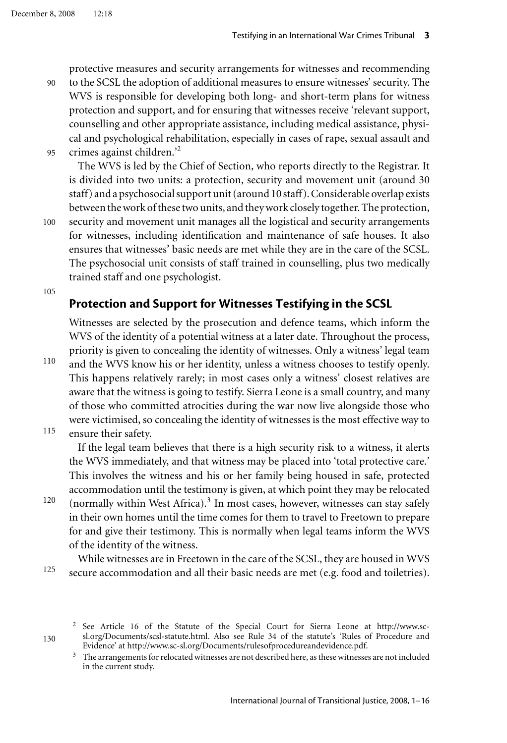protective measures and security arrangements for witnesses and recommending

- 90 to the SCSL the adoption of additional measures to ensure witnesses' security. The WVS is responsible for developing both long- and short-term plans for witness protection and support, and for ensuring that witnesses receive 'relevant support, counselling and other appropriate assistance, including medical assistance, physical and psychological rehabilitation, especially in cases of rape, sexual assault and
- 95 crimes against children.'2

The WVS is led by the Chief of Section, who reports directly to the Registrar. It is divided into two units: a protection, security and movement unit (around 30 staff) and a psychosocial support unit (around 10 staff). Considerable overlap exists between the work of these two units, and they work closely together. The protection, security and movement unit manages all the logistical and security arrangements

100 for witnesses, including identification and maintenance of safe houses. It also ensures that witnesses' basic needs are met while they are in the care of the SCSL. The psychosocial unit consists of staff trained in counselling, plus two medically trained staff and one psychologist.

105

### **Protection and Support for Witnesses Testifying in the SCSL**

Witnesses are selected by the prosecution and defence teams, which inform the WVS of the identity of a potential witness at a later date. Throughout the process, priority is given to concealing the identity of witnesses. Only a witness' legal team

110

115

and the WVS know his or her identity, unless a witness chooses to testify openly. This happens relatively rarely; in most cases only a witness' closest relatives are aware that the witness is going to testify. Sierra Leone is a small country, and many of those who committed atrocities during the war now live alongside those who were victimised, so concealing the identity of witnesses is the most effective way to ensure their safety.

If the legal team believes that there is a high security risk to a witness, it alerts the WVS immediately, and that witness may be placed into 'total protective care.' This involves the witness and his or her family being housed in safe, protected accommodation until the testimony is given, at which point they may be relocated

120 (normally within West Africa).<sup>3</sup> In most cases, however, witnesses can stay safely in their own homes until the time comes for them to travel to Freetown to prepare for and give their testimony. This is normally when legal teams inform the WVS of the identity of the witness.

125 While witnesses are in Freetown in the care of the SCSL, they are housed in WVS secure accommodation and all their basic needs are met (e.g. food and toiletries).

<sup>2</sup> See Article 16 of the Statute of the Special Court for Sierra Leone at http://www.scsl.org/Documents/scsl-statute.html. Also see Rule 34 of the statute's 'Rules of Procedure and Evidence' at http://www.sc-sl.org/Documents/rulesofprocedureandevidence.pdf.

<sup>3</sup> The arrangements for relocated witnesses are not described here, as these witnesses are not included in the current study.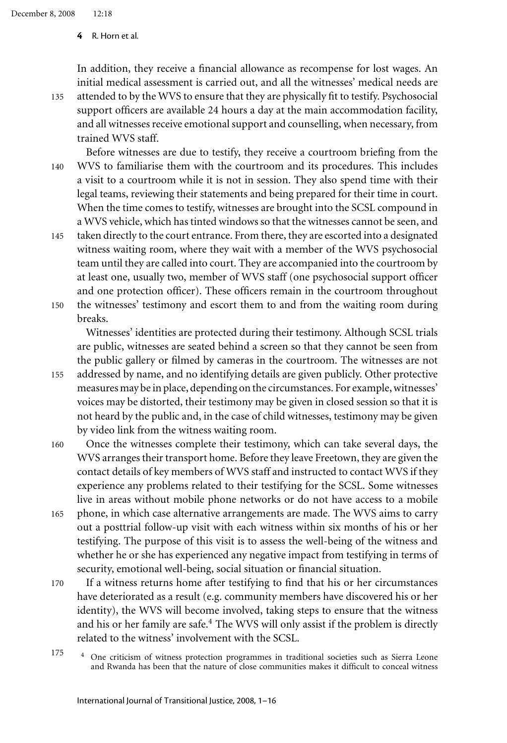In addition, they receive a financial allowance as recompense for lost wages. An initial medical assessment is carried out, and all the witnesses' medical needs are

- 135 attended to by the WVS to ensure that they are physically fit to testify. Psychosocial support officers are available 24 hours a day at the main accommodation facility, and all witnesses receive emotional support and counselling, when necessary, from trained WVS staff.
- 140 Before witnesses are due to testify, they receive a courtroom briefing from the WVS to familiarise them with the courtroom and its procedures. This includes a visit to a courtroom while it is not in session. They also spend time with their legal teams, reviewing their statements and being prepared for their time in court. When the time comes to testify, witnesses are brought into the SCSL compound in a WVS vehicle, which has tinted windows so that the witnesses cannot be seen, and
- 145 150 taken directly to the court entrance. From there, they are escorted into a designated witness waiting room, where they wait with a member of the WVS psychosocial team until they are called into court. They are accompanied into the courtroom by at least one, usually two, member of WVS staff (one psychosocial support officer and one protection officer). These officers remain in the courtroom throughout the witnesses' testimony and escort them to and from the waiting room during

breaks.

Witnesses' identities are protected during their testimony. Although SCSL trials are public, witnesses are seated behind a screen so that they cannot be seen from the public gallery or filmed by cameras in the courtroom. The witnesses are not

- 155 addressed by name, and no identifying details are given publicly. Other protective measures may be in place, depending on the circumstances. For example, witnesses' voices may be distorted, their testimony may be given in closed session so that it is not heard by the public and, in the case of child witnesses, testimony may be given by video link from the witness waiting room.
- 160 Once the witnesses complete their testimony, which can take several days, the WVS arranges their transport home. Before they leave Freetown, they are given the contact details of key members of WVS staff and instructed to contact WVS if they experience any problems related to their testifying for the SCSL. Some witnesses live in areas without mobile phone networks or do not have access to a mobile
- 165 phone, in which case alternative arrangements are made. The WVS aims to carry out a posttrial follow-up visit with each witness within six months of his or her testifying. The purpose of this visit is to assess the well-being of the witness and whether he or she has experienced any negative impact from testifying in terms of security, emotional well-being, social situation or financial situation.
- 170 If a witness returns home after testifying to find that his or her circumstances have deteriorated as a result (e.g. community members have discovered his or her identity), the WVS will become involved, taking steps to ensure that the witness and his or her family are safe.<sup>4</sup> The WVS will only assist if the problem is directly related to the witness' involvement with the SCSL.
- 175 <sup>4</sup> One criticism of witness protection programmes in traditional societies such as Sierra Leone and Rwanda has been that the nature of close communities makes it difficult to conceal witness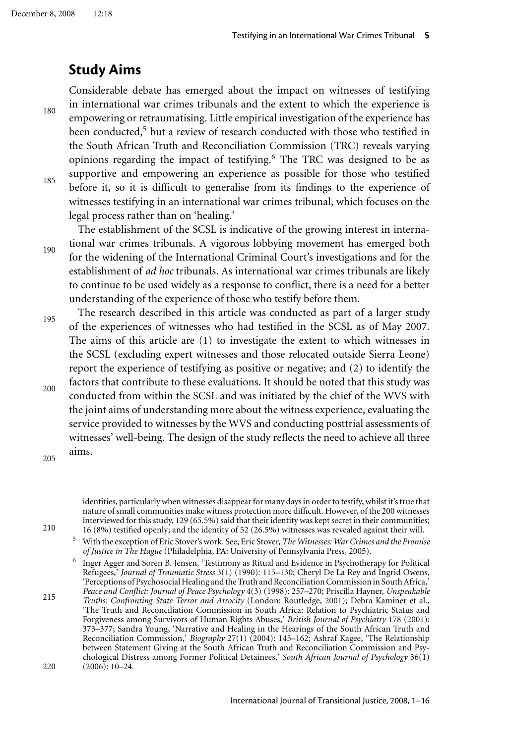## **Study Aims**

180 185 Considerable debate has emerged about the impact on witnesses of testifying in international war crimes tribunals and the extent to which the experience is empowering or retraumatising. Little empirical investigation of the experience has been conducted,<sup>5</sup> but a review of research conducted with those who testified in the South African Truth and Reconciliation Commission (TRC) reveals varying opinions regarding the impact of testifying.<sup>6</sup> The TRC was designed to be as supportive and empowering an experience as possible for those who testified before it, so it is difficult to generalise from its findings to the experience of witnesses testifying in an international war crimes tribunal, which focuses on the legal process rather than on 'healing.'

190 The establishment of the SCSL is indicative of the growing interest in international war crimes tribunals. A vigorous lobbying movement has emerged both for the widening of the International Criminal Court's investigations and for the establishment of *ad hoc* tribunals. As international war crimes tribunals are likely to continue to be used widely as a response to conflict, there is a need for a better understanding of the experience of those who testify before them.

195 200 The research described in this article was conducted as part of a larger study of the experiences of witnesses who had testified in the SCSL as of May 2007. The aims of this article are (1) to investigate the extent to which witnesses in the SCSL (excluding expert witnesses and those relocated outside Sierra Leone) report the experience of testifying as positive or negative; and (2) to identify the factors that contribute to these evaluations. It should be noted that this study was conducted from within the SCSL and was initiated by the chief of the WVS with the joint aims of understanding more about the witness experience, evaluating the service provided to witnesses by the WVS and conducting posttrial assessments of witnesses' well-being. The design of the study reflects the need to achieve all three aims.

205

210

identities, particularly when witnesses disappear for many days in order to testify, whilst it's true that nature of small communities make witness protection more difficult. However, of the 200 witnesses interviewed for this study, 129 (65.5%) said that their identity was kept secret in their communities; 16 (8%) testified openly; and the identity of 52 (26.5%) witnesses was revealed against their will.

<sup>5</sup> With the exception of Eric Stover's work. See, Eric Stover, *The Witnesses: War Crimes and the Promise of Justice in The Hague* (Philadelphia, PA: University of Pennsylvania Press, 2005).

<sup>6</sup> Inger Agger and Soren B. Jensen, 'Testimony as Ritual and Evidence in Psychotherapy for Political Refugees,' *Journal of Traumatic Stress* 3(1) (1990): 115–130; Cheryl De La Rey and Ingrid Owens, 'Perceptions of Psychosocial Healing and the Truth and Reconciliation Commission in South Africa,' *Peace and Conflict: Journal of Peace Psychology* 4(3) (1998): 257–270; Priscilla Hayner, *Unspeakable*

215  $220$ *Truths: Confronting State Terror and Atrocity* (London: Routledge, 2001); Debra Kaminer et al., 'The Truth and Reconciliation Commission in South Africa: Relation to Psychiatric Status and Forgiveness among Survivors of Human Rights Abuses,' *British Journal of Psychiatry* 178 (2001): 373–377; Sandra Young, 'Narrative and Healing in the Hearings of the South African Truth and Reconciliation Commission,' *Biography* 27(1) (2004): 145–162; Ashraf Kagee, 'The Relationship between Statement Giving at the South African Truth and Reconciliation Commission and Psychological Distress among Former Political Detainees,' *South African Journal of Psychology* 36(1)  $(2006): 10-24.$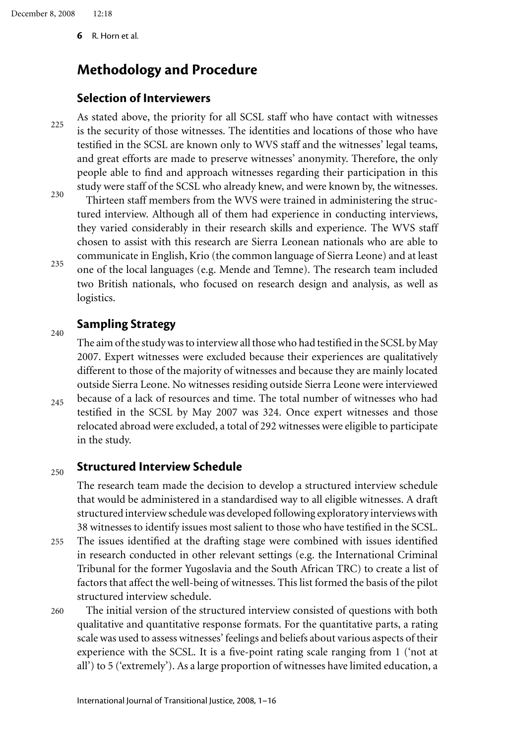## **Methodology and Procedure**

### **Selection of Interviewers**

225 As stated above, the priority for all SCSL staff who have contact with witnesses is the security of those witnesses. The identities and locations of those who have testified in the SCSL are known only to WVS staff and the witnesses' legal teams, and great efforts are made to preserve witnesses' anonymity. Therefore, the only people able to find and approach witnesses regarding their participation in this study were staff of the SCSL who already knew, and were known by, the witnesses.

230 235 Thirteen staff members from the WVS were trained in administering the structured interview. Although all of them had experience in conducting interviews, they varied considerably in their research skills and experience. The WVS staff chosen to assist with this research are Sierra Leonean nationals who are able to communicate in English, Krio (the common language of Sierra Leone) and at least one of the local languages (e.g. Mende and Temne). The research team included two British nationals, who focused on research design and analysis, as well as logistics.

### **Sampling Strategy**

240

 $245$ The aim of the study was to interview all those who had testified in the SCSL by May 2007. Expert witnesses were excluded because their experiences are qualitatively different to those of the majority of witnesses and because they are mainly located outside Sierra Leone. No witnesses residing outside Sierra Leone were interviewed because of a lack of resources and time. The total number of witnesses who had testified in the SCSL by May 2007 was 324. Once expert witnesses and those relocated abroad were excluded, a total of 292 witnesses were eligible to participate in the study.

#### 250 **Structured Interview Schedule**

The research team made the decision to develop a structured interview schedule that would be administered in a standardised way to all eligible witnesses. A draft structured interview schedule was developed following exploratory interviews with 38 witnesses to identify issues most salient to those who have testified in the SCSL.

- 255 The issues identified at the drafting stage were combined with issues identified in research conducted in other relevant settings (e.g. the International Criminal Tribunal for the former Yugoslavia and the South African TRC) to create a list of factors that affect the well-being of witnesses. This list formed the basis of the pilot structured interview schedule.
- 260 The initial version of the structured interview consisted of questions with both qualitative and quantitative response formats. For the quantitative parts, a rating scale was used to assess witnesses' feelings and beliefs about various aspects of their experience with the SCSL. It is a five-point rating scale ranging from 1 ('not at all') to 5 ('extremely'). As a large proportion of witnesses have limited education, a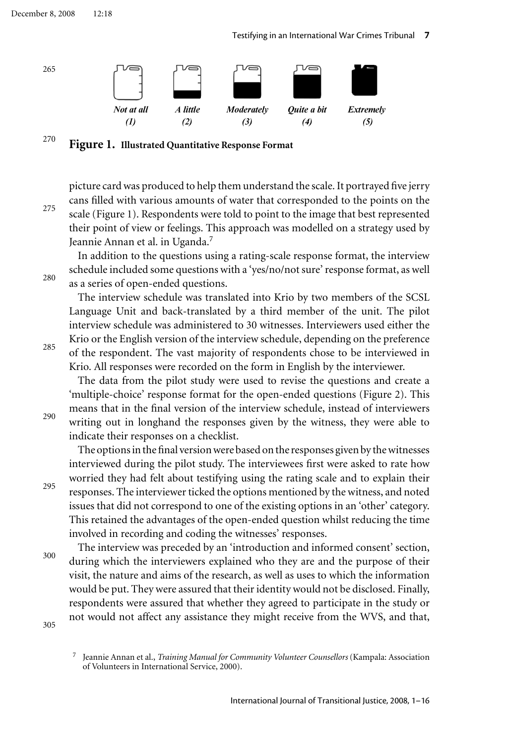December 8, 2008 12:18

Testifying in an International War Crimes Tribunal **7**



### 270 **Figure 1. Illustrated Quantitative Response Format**

picture card was produced to help them understand the scale. It portrayed five jerry cans filled with various amounts of water that corresponded to the points on the scale (Figure 1). Respondents were told to point to the image that best represented their point of view or feelings. This approach was modelled on a strategy used by Jeannie Annan et al. in Uganda.<sup>7</sup>

In addition to the questions using a rating-scale response format, the interview schedule included some questions with a 'yes/no/not sure' response format, as well as a series of open-ended questions.

The interview schedule was translated into Krio by two members of the SCSL Language Unit and back-translated by a third member of the unit. The pilot interview schedule was administered to 30 witnesses. Interviewers used either the Krio or the English version of the interview schedule, depending on the preference of the respondent. The vast majority of respondents chose to be interviewed in Krio. All responses were recorded on the form in English by the interviewer.

The data from the pilot study were used to revise the questions and create a 'multiple-choice' response format for the open-ended questions (Figure 2). This means that in the final version of the interview schedule, instead of interviewers writing out in longhand the responses given by the witness, they were able to indicate their responses on a checklist.

The options in the final version were based on the responses given by the witnesses interviewed during the pilot study. The interviewees first were asked to rate how worried they had felt about testifying using the rating scale and to explain their responses. The interviewer ticked the options mentioned by the witness, and noted issues that did not correspond to one of the existing options in an 'other' category. This retained the advantages of the open-ended question whilst reducing the time involved in recording and coding the witnesses' responses.

300 The interview was preceded by an 'introduction and informed consent' section, during which the interviewers explained who they are and the purpose of their visit, the nature and aims of the research, as well as uses to which the information would be put. They were assured that their identity would not be disclosed. Finally, respondents were assured that whether they agreed to participate in the study or not would not affect any assistance they might receive from the WVS, and that,

305

285

275

280



<sup>7</sup> Jeannie Annan et al., *Training Manual for Community Volunteer Counsellors* (Kampala: Association of Volunteers in International Service, 2000).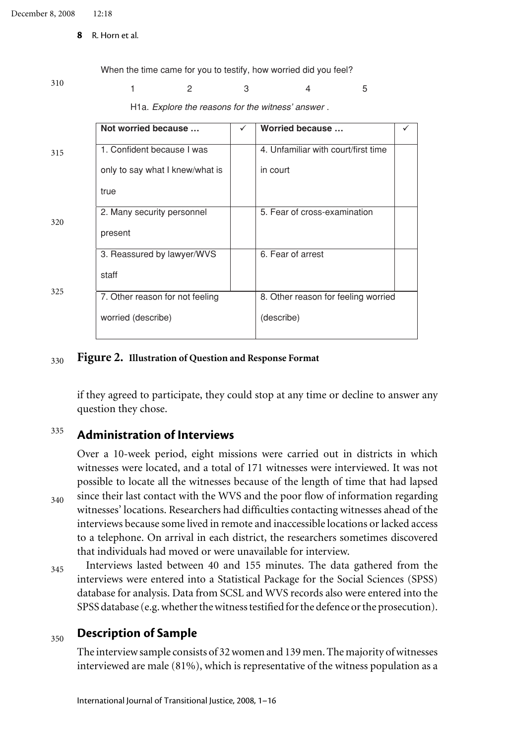When the time came for you to testify, how worried did you feel?

310

### 1 2 3 4 5

H1a. *Explore the reasons for the witness' answer* .

|     | Not worried because             | ✓ | Worried because                     |  |  |
|-----|---------------------------------|---|-------------------------------------|--|--|
| 315 | 1. Confident because I was      |   | 4. Unfamiliar with court/first time |  |  |
|     | only to say what I knew/what is |   | in court                            |  |  |
|     | true                            |   |                                     |  |  |
| 320 | 2. Many security personnel      |   | 5. Fear of cross-examination        |  |  |
|     | present                         |   |                                     |  |  |
|     | 3. Reassured by lawyer/WVS      |   | 6. Fear of arrest                   |  |  |
|     | staff                           |   |                                     |  |  |
| 325 | 7. Other reason for not feeling |   | 8. Other reason for feeling worried |  |  |
|     | worried (describe)              |   | (describe)                          |  |  |
|     |                                 |   |                                     |  |  |

#### 330 **Figure 2. Illustration of Question and Response Format**

if they agreed to participate, they could stop at any time or decline to answer any question they chose.

### 335 **Administration of Interviews**

340 Over a 10-week period, eight missions were carried out in districts in which witnesses were located, and a total of 171 witnesses were interviewed. It was not possible to locate all the witnesses because of the length of time that had lapsed since their last contact with the WVS and the poor flow of information regarding witnesses' locations. Researchers had difficulties contacting witnesses ahead of the interviews because some lived in remote and inaccessible locations or lacked access to a telephone. On arrival in each district, the researchers sometimes discovered that individuals had moved or were unavailable for interview.

345 Interviews lasted between 40 and 155 minutes. The data gathered from the interviews were entered into a Statistical Package for the Social Sciences (SPSS) database for analysis. Data from SCSL and WVS records also were entered into the SPSS database (e.g. whether the witness testified for the defence or the prosecution).

#### 350 **Description of Sample**

The interview sample consists of 32 women and 139 men. The majority of witnesses interviewed are male (81%), which is representative of the witness population as a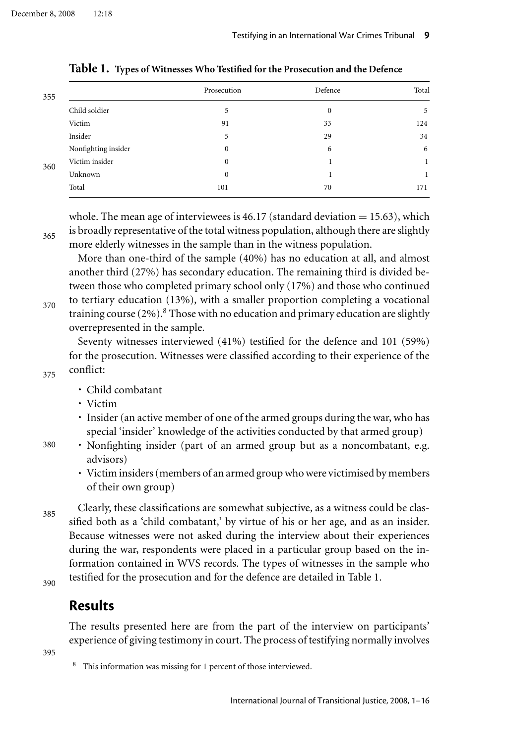| 355 |                     | Prosecution  | Defence      | Total |
|-----|---------------------|--------------|--------------|-------|
|     | Child soldier       | 5            | $\mathbf{0}$ | 5     |
|     | Victim              | 91           | 33           | 124   |
|     | Insider             | 5            | 29           | 34    |
|     | Nonfighting insider | $\Omega$     | 6            | 6     |
| 360 | Victim insider      | $\mathbf{0}$ |              |       |
|     | Unknown             | $\mathbf{0}$ |              |       |
|     | Total               | 101          | 70           | 171   |

**Table 1. Types of Witnesses Who Testified for the Prosecution and the Defence**

whole. The mean age of interviewees is 46.17 (standard deviation  $= 15.63$ ), which is broadly representative of the total witness population, although there are slightly more elderly witnesses in the sample than in the witness population.

More than one-third of the sample (40%) has no education at all, and almost another third (27%) has secondary education. The remaining third is divided between those who completed primary school only (17%) and those who continued

370 to tertiary education (13%), with a smaller proportion completing a vocational training course  $(2\%)$ .<sup>8</sup> Those with no education and primary education are slightly overrepresented in the sample.

Seventy witnesses interviewed (41%) testified for the defence and 101 (59%) for the prosecution. Witnesses were classified according to their experience of the conflict:

### 375

365

- Child combatant
- Victim
- Insider (an active member of one of the armed groups during the war, who has special 'insider' knowledge of the activities conducted by that armed group)
- Nonfighting insider (part of an armed group but as a noncombatant, e.g. advisors)
	- Victim insiders (members of an armed group who were victimised by members of their own group)

385

380

Clearly, these classifications are somewhat subjective, as a witness could be classified both as a 'child combatant,' by virtue of his or her age, and as an insider. Because witnesses were not asked during the interview about their experiences during the war, respondents were placed in a particular group based on the information contained in WVS records. The types of witnesses in the sample who testified for the prosecution and for the defence are detailed in Table 1.

390

### **Results**

The results presented here are from the part of the interview on participants' experience of giving testimony in court. The process of testifying normally involves

<sup>8</sup> This information was missing for 1 percent of those interviewed.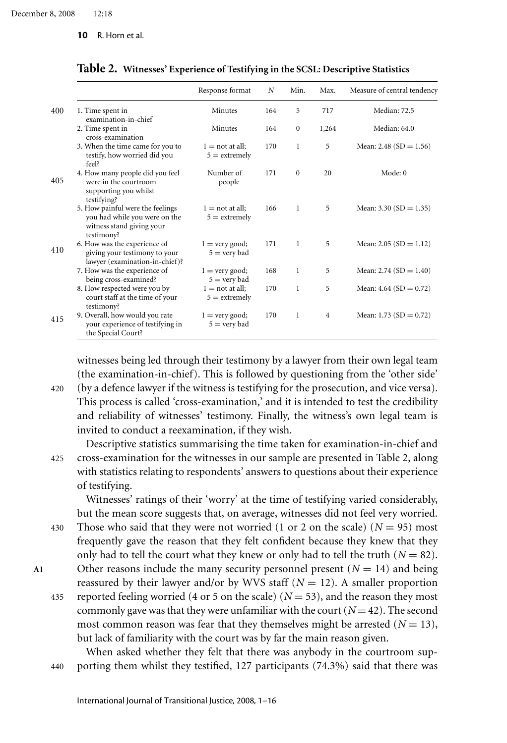|                                                                                                              | Response format                             | N   | Min.         | Max.           | Measure of central tendency |
|--------------------------------------------------------------------------------------------------------------|---------------------------------------------|-----|--------------|----------------|-----------------------------|
| 1. Time spent in<br>examination-in-chief                                                                     | Minutes                                     | 164 | 5            | 717            | Median: 72.5                |
| 2. Time spent in<br>cross-examination                                                                        | Minutes                                     | 164 | $\mathbf{0}$ | 1,264          | Median: 64.0                |
| 3. When the time came for you to<br>testify, how worried did you<br>feel?                                    | $1 = \text{not at all}:$<br>$5 =$ extremely | 170 | 1            | 5              | Mean: 2.48 (SD = $1.56$ )   |
| 4. How many people did you feel<br>were in the courtroom<br>supporting you whilst<br>testifying?             | Number of<br>people                         | 171 | $\Omega$     | 20             | Mode: 0                     |
| 5. How painful were the feelings<br>you had while you were on the<br>witness stand giving your<br>testimony? | $1 = not at all;$<br>$5 =$ extremely        | 166 | 1            | 5              | Mean: $3.30(SD = 1.35)$     |
| 6. How was the experience of<br>giving your testimony to your<br>lawyer (examination-in-chief)?              | $1 = \text{very good};$<br>$5 =$ very bad   | 171 | $\mathbf{1}$ | 5              | Mean: $2.05(SD = 1.12)$     |
| 7. How was the experience of<br>being cross-examined?                                                        | $1 =$ very good;<br>$5 =$ very bad          | 168 | 1            | 5              | Mean: 2.74 $(SD = 1.40)$    |
| 8. How respected were you by<br>court staff at the time of your<br>testimony?                                | $1 = not at all:$<br>$5 =$ extremely        | 170 | 1            | 5              | Mean: $4.64$ (SD = 0.72)    |
| 9. Overall, how would you rate<br>your experience of testifying in<br>the Special Court?                     | $1 =$ very good;<br>$5 =$ very bad          | 170 | 1            | $\overline{4}$ | Mean: 1.73 (SD = $0.72$ )   |

**Table 2. Witnesses' Experience of Testifying in the SCSL: Descriptive Statistics**

witnesses being led through their testimony by a lawyer from their own legal team (the examination-in-chief). This is followed by questioning from the 'other side'

420 (by a defence lawyer if the witness is testifying for the prosecution, and vice versa). This process is called 'cross-examination,' and it is intended to test the credibility and reliability of witnesses' testimony. Finally, the witness's own legal team is invited to conduct a reexamination, if they wish.

425 Descriptive statistics summarising the time taken for examination-in-chief and cross-examination for the witnesses in our sample are presented in Table 2, along with statistics relating to respondents' answers to questions about their experience of testifying.

Witnesses' ratings of their 'worry' at the time of testifying varied considerably, but the mean score suggests that, on average, witnesses did not feel very worried.

430 Those who said that they were not worried (1 or 2 on the scale)  $(N = 95)$  most frequently gave the reason that they felt confident because they knew that they only had to tell the court what they knew or only had to tell the truth  $(N = 82)$ . A1 Other reasons include the many security personnel present  $(N = 14)$  and being

435 reassured by their lawyer and/or by WVS staff  $(N = 12)$ . A smaller proportion reported feeling worried (4 or 5 on the scale) ( $N = 53$ ), and the reason they most commonly gave was that they were unfamiliar with the court  $(N = 42)$ . The second most common reason was fear that they themselves might be arrested  $(N = 13)$ , but lack of familiarity with the court was by far the main reason given.

440 When asked whether they felt that there was anybody in the courtroom supporting them whilst they testified, 127 participants (74.3%) said that there was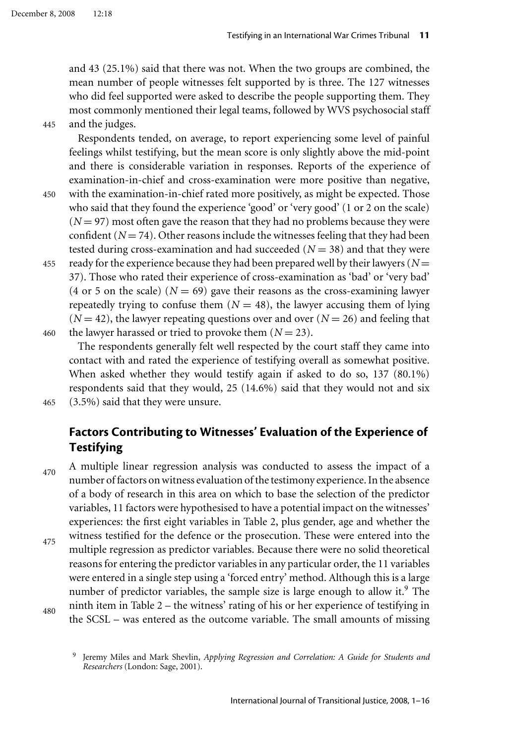and 43 (25.1%) said that there was not. When the two groups are combined, the mean number of people witnesses felt supported by is three. The 127 witnesses who did feel supported were asked to describe the people supporting them. They most commonly mentioned their legal teams, followed by WVS psychosocial staff and the judges.

445

Respondents tended, on average, to report experiencing some level of painful feelings whilst testifying, but the mean score is only slightly above the mid-point and there is considerable variation in responses. Reports of the experience of examination-in-chief and cross-examination were more positive than negative,

450

with the examination-in-chief rated more positively, as might be expected. Those who said that they found the experience 'good' or 'very good' (1 or 2 on the scale)  $(N = 97)$  most often gave the reason that they had no problems because they were confident  $(N = 74)$ . Other reasons include the witnesses feeling that they had been tested during cross-examination and had succeeded  $(N = 38)$  and that they were

455 460 ready for the experience because they had been prepared well by their lawyers ( $N =$ 37). Those who rated their experience of cross-examination as 'bad' or 'very bad' (4 or 5 on the scale)  $(N = 69)$  gave their reasons as the cross-examining lawyer repeatedly trying to confuse them  $(N = 48)$ , the lawyer accusing them of lying  $(N = 42)$ , the lawyer repeating questions over and over  $(N = 26)$  and feeling that the lawyer harassed or tried to provoke them  $(N = 23)$ .

The respondents generally felt well respected by the court staff they came into contact with and rated the experience of testifying overall as somewhat positive. When asked whether they would testify again if asked to do so, 137 (80.1%) respondents said that they would, 25 (14.6%) said that they would not and six (3.5%) said that they were unsure.

465

## **Factors Contributing to Witnesses' Evaluation of the Experience of Testifying**

470 A multiple linear regression analysis was conducted to assess the impact of a number of factors on witness evaluation of the testimony experience. In the absence of a body of research in this area on which to base the selection of the predictor variables, 11 factors were hypothesised to have a potential impact on the witnesses' experiences: the first eight variables in Table 2, plus gender, age and whether the witness testified for the defence or the prosecution. These were entered into the

475 multiple regression as predictor variables. Because there were no solid theoretical reasons for entering the predictor variables in any particular order, the 11 variables were entered in a single step using a 'forced entry' method. Although this is a large number of predictor variables, the sample size is large enough to allow it.<sup>9</sup> The ninth item in Table 2 – the witness' rating of his or her experience of testifying in

480

the SCSL – was entered as the outcome variable. The small amounts of missing

<sup>9</sup> Jeremy Miles and Mark Shevlin, *Applying Regression and Correlation: A Guide for Students and Researchers* (London: Sage, 2001).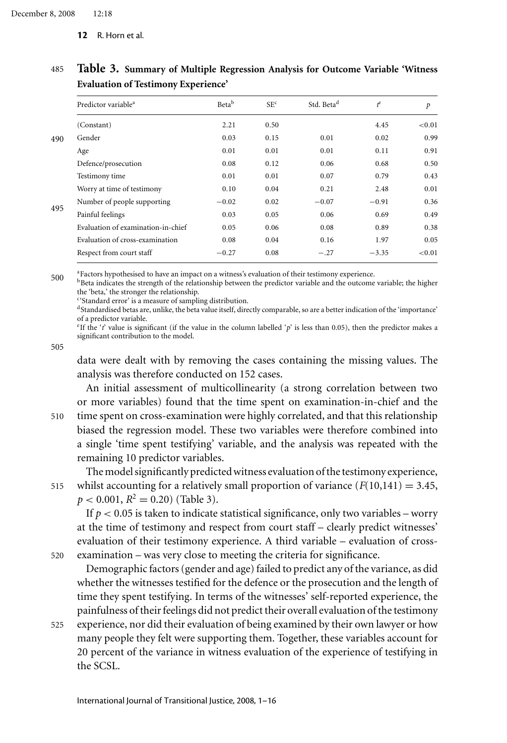|     | Predictor variable <sup>a</sup>    | Betab   | SE <sup>c</sup> | Std. Beta <sup>d</sup> | $t^e$   | $\boldsymbol{p}$ |
|-----|------------------------------------|---------|-----------------|------------------------|---------|------------------|
|     | (Constant)                         | 2.21    | 0.50            |                        | 4.45    | < 0.01           |
| 490 | Gender                             | 0.03    | 0.15            | 0.01                   | 0.02    | 0.99             |
|     | Age                                | 0.01    | 0.01            | 0.01                   | 0.11    | 0.91             |
|     | Defence/prosecution                | 0.08    | 0.12            | 0.06                   | 0.68    | 0.50             |
|     | Testimony time                     | 0.01    | 0.01            | 0.07                   | 0.79    | 0.43             |
|     | Worry at time of testimony         | 0.10    | 0.04            | 0.21                   | 2.48    | 0.01             |
|     | Number of people supporting        | $-0.02$ | 0.02            | $-0.07$                | $-0.91$ | 0.36             |
| 495 | Painful feelings                   | 0.03    | 0.05            | 0.06                   | 0.69    | 0.49             |
|     | Evaluation of examination-in-chief | 0.05    | 0.06            | 0.08                   | 0.89    | 0.38             |
|     | Evaluation of cross-examination    | 0.08    | 0.04            | 0.16                   | 1.97    | 0.05             |
|     | Respect from court staff           | $-0.27$ | 0.08            | $-.27$                 | $-3.35$ | < 0.01           |
|     |                                    |         |                 |                        |         |                  |

### 485 **Table 3. Summary of Multiple Regression Analysis for Outcome Variable 'Witness Evaluation of Testimony Experience'**

500 aFactors hypothesised to have an impact on a witness's evaluation of their testimony experience.

bBeta indicates the strength of the relationship between the predictor variable and the outcome variable; the higher the 'beta,' the stronger the relationship.

c'Standard error' is a measure of sampling distribution.

dStandardised betas are, unlike, the beta value itself, directly comparable, so are a better indication of the 'importance' of a predictor variable.

<sup>e</sup>If the '*t*' value is significant (if the value in the column labelled '*p*' is less than 0.05), then the predictor makes a significant contribution to the model.

505

515

520

data were dealt with by removing the cases containing the missing values. The analysis was therefore conducted on 152 cases.

510 An initial assessment of multicollinearity (a strong correlation between two or more variables) found that the time spent on examination-in-chief and the time spent on cross-examination were highly correlated, and that this relationship biased the regression model. These two variables were therefore combined into a single 'time spent testifying' variable, and the analysis was repeated with the remaining 10 predictor variables.

The model significantly predicted witness evaluation of the testimony experience, whilst accounting for a relatively small proportion of variance  $(F(10,141) = 3.45,$  $p < 0.001$ ,  $R^2 = 0.20$ ) (Table 3).

If  $p < 0.05$  is taken to indicate statistical significance, only two variables – worry at the time of testimony and respect from court staff – clearly predict witnesses' evaluation of their testimony experience. A third variable – evaluation of crossexamination – was very close to meeting the criteria for significance.

Demographic factors (gender and age) failed to predict any of the variance, as did whether the witnesses testified for the defence or the prosecution and the length of time they spent testifying. In terms of the witnesses' self-reported experience, the painfulness of their feelings did not predict their overall evaluation of the testimony

525 experience, nor did their evaluation of being examined by their own lawyer or how many people they felt were supporting them. Together, these variables account for 20 percent of the variance in witness evaluation of the experience of testifying in the SCSL.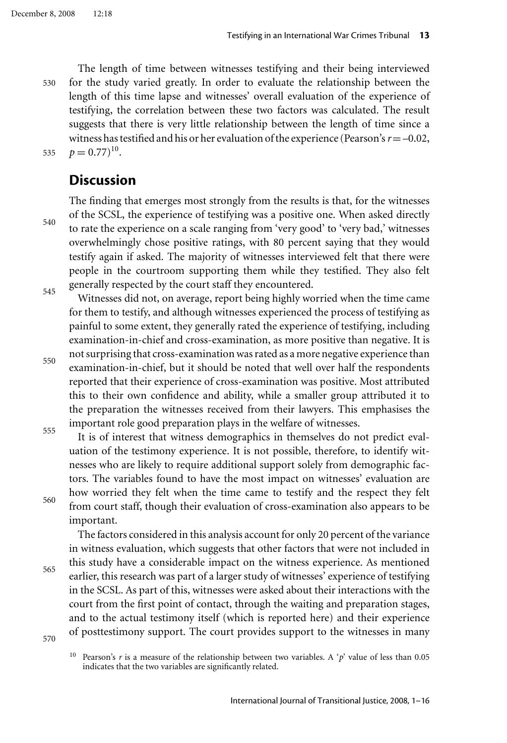540

545

530 535 The length of time between witnesses testifying and their being interviewed for the study varied greatly. In order to evaluate the relationship between the length of this time lapse and witnesses' overall evaluation of the experience of testifying, the correlation between these two factors was calculated. The result suggests that there is very little relationship between the length of time since a witness has testified and his or her evaluation of the experience (Pearson's*r*=–0.02,  $p = 0.77$ <sup>10</sup>.

### **Discussion**

The finding that emerges most strongly from the results is that, for the witnesses of the SCSL, the experience of testifying was a positive one. When asked directly to rate the experience on a scale ranging from 'very good' to 'very bad,' witnesses overwhelmingly chose positive ratings, with 80 percent saying that they would testify again if asked. The majority of witnesses interviewed felt that there were people in the courtroom supporting them while they testified. They also felt generally respected by the court staff they encountered.

Witnesses did not, on average, report being highly worried when the time came for them to testify, and although witnesses experienced the process of testifying as painful to some extent, they generally rated the experience of testifying, including examination-in-chief and cross-examination, as more positive than negative. It is not surprising that cross-examination was rated as a more negative experience than

550 555 examination-in-chief, but it should be noted that well over half the respondents reported that their experience of cross-examination was positive. Most attributed this to their own confidence and ability, while a smaller group attributed it to the preparation the witnesses received from their lawyers. This emphasises the important role good preparation plays in the welfare of witnesses.

It is of interest that witness demographics in themselves do not predict evaluation of the testimony experience. It is not possible, therefore, to identify witnesses who are likely to require additional support solely from demographic factors. The variables found to have the most impact on witnesses' evaluation are how worried they felt when the time came to testify and the respect they felt from court staff, though their evaluation of cross-examination also appears to be important.

The factors considered in this analysis account for only 20 percent of the variance in witness evaluation, which suggests that other factors that were not included in this study have a considerable impact on the witness experience. As mentioned earlier, this research was part of a larger study of witnesses' experience of testifying in the SCSL. As part of this, witnesses were asked about their interactions with the court from the first point of contact, through the waiting and preparation stages, and to the actual testimony itself (which is reported here) and their experience of posttestimony support. The court provides support to the witnesses in many

565

560

<sup>10</sup> Pearson's *r* is a measure of the relationship between two variables. A '*p*' value of less than 0.05 indicates that the two variables are significantly related.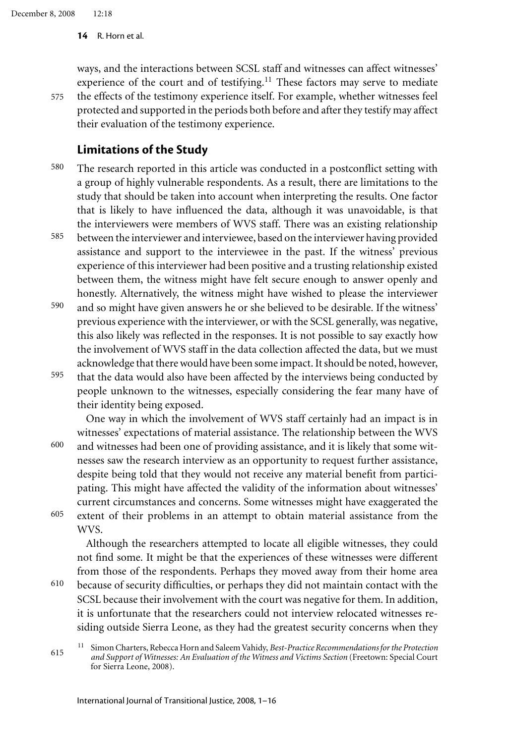575

**14** R. Horn et al.

ways, and the interactions between SCSL staff and witnesses can affect witnesses' experience of the court and of testifying. $11$  These factors may serve to mediate the effects of the testimony experience itself. For example, whether witnesses feel protected and supported in the periods both before and after they testify may affect their evaluation of the testimony experience.

### **Limitations of the Study**

- 580 The research reported in this article was conducted in a postconflict setting with a group of highly vulnerable respondents. As a result, there are limitations to the study that should be taken into account when interpreting the results. One factor that is likely to have influenced the data, although it was unavoidable, is that the interviewers were members of WVS staff. There was an existing relationship
- 585 between the interviewer and interviewee, based on the interviewer having provided assistance and support to the interviewee in the past. If the witness' previous experience of this interviewer had been positive and a trusting relationship existed between them, the witness might have felt secure enough to answer openly and honestly. Alternatively, the witness might have wished to please the interviewer
- 590 595 and so might have given answers he or she believed to be desirable. If the witness' previous experience with the interviewer, or with the SCSL generally, was negative, this also likely was reflected in the responses. It is not possible to say exactly how the involvement of WVS staff in the data collection affected the data, but we must acknowledge that there would have been some impact. It should be noted, however,
- that the data would also have been affected by the interviews being conducted by people unknown to the witnesses, especially considering the fear many have of their identity being exposed.

One way in which the involvement of WVS staff certainly had an impact is in witnesses' expectations of material assistance. The relationship between the WVS

600 605 and witnesses had been one of providing assistance, and it is likely that some witnesses saw the research interview as an opportunity to request further assistance, despite being told that they would not receive any material benefit from participating. This might have affected the validity of the information about witnesses' current circumstances and concerns. Some witnesses might have exaggerated the extent of their problems in an attempt to obtain material assistance from the WVS.

Although the researchers attempted to locate all eligible witnesses, they could not find some. It might be that the experiences of these witnesses were different from those of the respondents. Perhaps they moved away from their home area

610 because of security difficulties, or perhaps they did not maintain contact with the SCSL because their involvement with the court was negative for them. In addition, it is unfortunate that the researchers could not interview relocated witnesses residing outside Sierra Leone, as they had the greatest security concerns when they

<sup>615</sup> <sup>11</sup> Simon Charters, Rebecca Horn and Saleem Vahidy, *Best-Practice Recommendations for the Protection and Support of Witnesses: An Evaluation of the Witness and Victims Section* (Freetown: Special Court for Sierra Leone, 2008).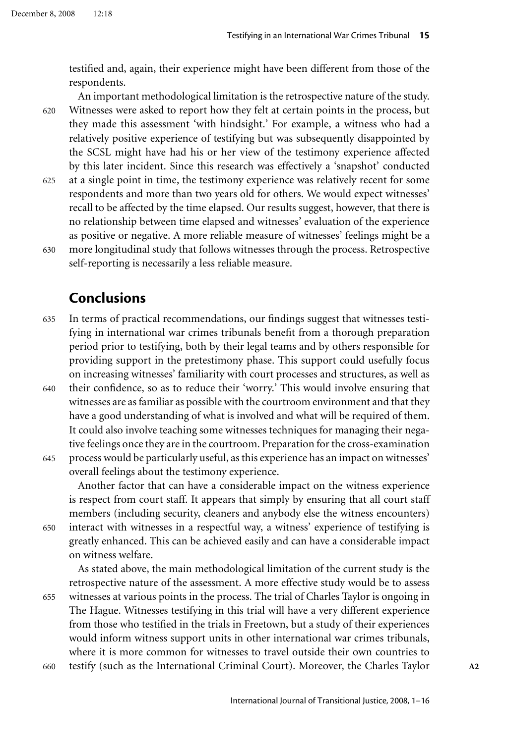testified and, again, their experience might have been different from those of the respondents.

620 625 An important methodological limitation is the retrospective nature of the study. Witnesses were asked to report how they felt at certain points in the process, but they made this assessment 'with hindsight.' For example, a witness who had a relatively positive experience of testifying but was subsequently disappointed by the SCSL might have had his or her view of the testimony experience affected by this later incident. Since this research was effectively a 'snapshot' conducted at a single point in time, the testimony experience was relatively recent for some

630 respondents and more than two years old for others. We would expect witnesses' recall to be affected by the time elapsed. Our results suggest, however, that there is no relationship between time elapsed and witnesses' evaluation of the experience as positive or negative. A more reliable measure of witnesses' feelings might be a more longitudinal study that follows witnesses through the process. Retrospective self-reporting is necessarily a less reliable measure.

### **Conclusions**

- 635 In terms of practical recommendations, our findings suggest that witnesses testifying in international war crimes tribunals benefit from a thorough preparation period prior to testifying, both by their legal teams and by others responsible for providing support in the pretestimony phase. This support could usefully focus on increasing witnesses' familiarity with court processes and structures, as well as
- 640 their confidence, so as to reduce their 'worry.' This would involve ensuring that witnesses are as familiar as possible with the courtroom environment and that they have a good understanding of what is involved and what will be required of them. It could also involve teaching some witnesses techniques for managing their negative feelings once they are in the courtroom. Preparation for the cross-examination
- 645 process would be particularly useful, as this experience has an impact on witnesses' overall feelings about the testimony experience.

Another factor that can have a considerable impact on the witness experience is respect from court staff. It appears that simply by ensuring that all court staff members (including security, cleaners and anybody else the witness encounters) interact with witnesses in a respectful way, a witness' experience of testifying is

650 greatly enhanced. This can be achieved easily and can have a considerable impact on witness welfare. As stated above, the main methodological limitation of the current study is the

655

retrospective nature of the assessment. A more effective study would be to assess witnesses at various points in the process. The trial of Charles Taylor is ongoing in The Hague. Witnesses testifying in this trial will have a very different experience from those who testified in the trials in Freetown, but a study of their experiences would inform witness support units in other international war crimes tribunals, where it is more common for witnesses to travel outside their own countries to testify (such as the International Criminal Court). Moreover, the Charles Taylor **A2**